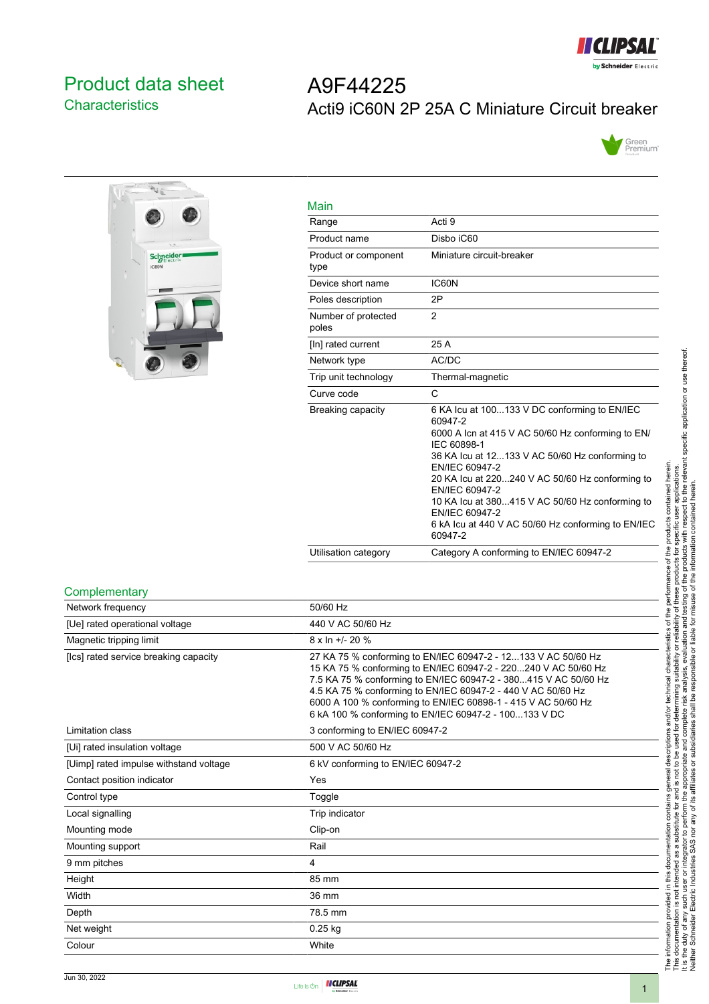

## <span id="page-0-0"></span>Product data sheet **Characteristics**

# A9F44225 Acti9 iC60N 2P 25A C Miniature Circuit breaker





| Main                         |                                                                                                                                                                                                                                                                                                                                                                                                            |
|------------------------------|------------------------------------------------------------------------------------------------------------------------------------------------------------------------------------------------------------------------------------------------------------------------------------------------------------------------------------------------------------------------------------------------------------|
| Range                        | Acti 9                                                                                                                                                                                                                                                                                                                                                                                                     |
| Product name                 | Disbo iC60                                                                                                                                                                                                                                                                                                                                                                                                 |
| Product or component<br>type | Miniature circuit-breaker                                                                                                                                                                                                                                                                                                                                                                                  |
| Device short name            | IC60N                                                                                                                                                                                                                                                                                                                                                                                                      |
| Poles description            | 2P                                                                                                                                                                                                                                                                                                                                                                                                         |
| Number of protected<br>poles | $\overline{2}$                                                                                                                                                                                                                                                                                                                                                                                             |
| [In] rated current           | 25 A                                                                                                                                                                                                                                                                                                                                                                                                       |
| Network type                 | AC/DC                                                                                                                                                                                                                                                                                                                                                                                                      |
| Trip unit technology         | Thermal-magnetic                                                                                                                                                                                                                                                                                                                                                                                           |
| Curve code                   | C                                                                                                                                                                                                                                                                                                                                                                                                          |
| Breaking capacity            | 6 KA Icu at 100133 V DC conforming to EN/IEC<br>60947-2<br>6000 A Icn at 415 V AC 50/60 Hz conforming to EN/<br>IFC 60898-1<br>36 KA Icu at 12133 V AC 50/60 Hz conforming to<br>EN/IEC 60947-2<br>20 KA Icu at 220240 V AC 50/60 Hz conforming to<br>EN/IEC 60947-2<br>10 KA lcu at 380415 V AC 50/60 Hz conforming to<br>EN/IEC 60947-2<br>6 kA Icu at 440 V AC 50/60 Hz conforming to EN/IEC<br>60947-2 |
| Utilisation category         | Category A conforming to EN/IEC 60947-2                                                                                                                                                                                                                                                                                                                                                                    |

#### **Complementary**

| Network frequency                      | 50/60 Hz                                                                                                                                                                                                                                                                                                                                                                                     |
|----------------------------------------|----------------------------------------------------------------------------------------------------------------------------------------------------------------------------------------------------------------------------------------------------------------------------------------------------------------------------------------------------------------------------------------------|
| [Ue] rated operational voltage         | 440 V AC 50/60 Hz                                                                                                                                                                                                                                                                                                                                                                            |
| Magnetic tripping limit                | 8 x ln +/- 20 %                                                                                                                                                                                                                                                                                                                                                                              |
| [Ics] rated service breaking capacity  | 27 KA 75 % conforming to EN/IEC 60947-2 - 12133 V AC 50/60 Hz<br>15 KA 75 % conforming to EN/IEC 60947-2 - 220240 V AC 50/60 Hz<br>7.5 KA 75 % conforming to EN/IEC 60947-2 - 380415 V AC 50/60 Hz<br>4.5 KA 75 % conforming to EN/IEC 60947-2 - 440 V AC 50/60 Hz<br>6000 A 100 % conforming to EN/IEC 60898-1 - 415 V AC 50/60 Hz<br>6 kA 100 % conforming to EN/IEC 60947-2 - 100133 V DC |
| Limitation class                       | 3 conforming to EN/IEC 60947-2                                                                                                                                                                                                                                                                                                                                                               |
| [Ui] rated insulation voltage          | 500 V AC 50/60 Hz                                                                                                                                                                                                                                                                                                                                                                            |
| [Uimp] rated impulse withstand voltage | 6 kV conforming to EN/IEC 60947-2                                                                                                                                                                                                                                                                                                                                                            |
| Contact position indicator             | Yes                                                                                                                                                                                                                                                                                                                                                                                          |
| Control type                           | Toggle                                                                                                                                                                                                                                                                                                                                                                                       |
| Local signalling                       | Trip indicator                                                                                                                                                                                                                                                                                                                                                                               |
| Mounting mode                          | Clip-on                                                                                                                                                                                                                                                                                                                                                                                      |
| Mounting support                       | Rail                                                                                                                                                                                                                                                                                                                                                                                         |
| 9 mm pitches                           | 4                                                                                                                                                                                                                                                                                                                                                                                            |
| Height                                 | 85 mm                                                                                                                                                                                                                                                                                                                                                                                        |
| Width                                  | 36 mm                                                                                                                                                                                                                                                                                                                                                                                        |
| Depth                                  | 78.5 mm                                                                                                                                                                                                                                                                                                                                                                                      |
| Net weight                             | $0.25$ kg                                                                                                                                                                                                                                                                                                                                                                                    |
| Colour                                 | White                                                                                                                                                                                                                                                                                                                                                                                        |